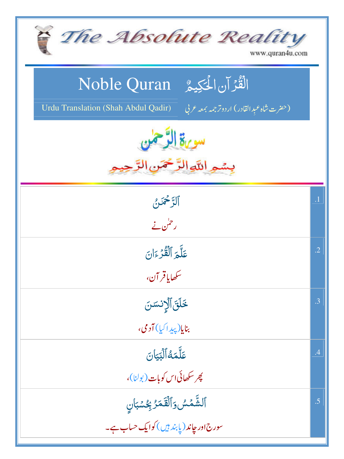| The Absolute Reality<br>www.quran4u.com                                                                                |                 |
|------------------------------------------------------------------------------------------------------------------------|-----------------|
| الْقُرْآنِ الْحَكِيمُ Noble Quran<br>Urdu Translation (Shah Abdul Qadir)<br>(حضرت شاه عبد القادر) اردوتر جمه بمعه عربي |                 |
| سورة الرحمن<br>بسمه اللوالرَّحْمَنِ الرَّحِيمِ                                                                         |                 |
| ألترخمخين<br>ر حمٰن نے                                                                                                 | $\overline{.1}$ |
| عَلَّمَ ٱلْقُدْءَانَ<br>۔<br>سکھایاقر آن،                                                                              | $\cdot$ .2      |
| خَلَقَ ٱلۡإِنسَنَ<br>بنايا(پيداکيا) آدمي،                                                                              | $\cdot$ 3       |
| عَلَّمَهُ ٱلۡبَيَانَ<br>پھر سکھائی اس کوبات (بولنا)،                                                                   | .4              |
| ٱلشَّمۡسُ وَٱلۡقَمَرُ بِحُسۡبَانٍ<br>سورج اور چاند (پابند ہیں) کوایک حساب ہے۔                                          | .5              |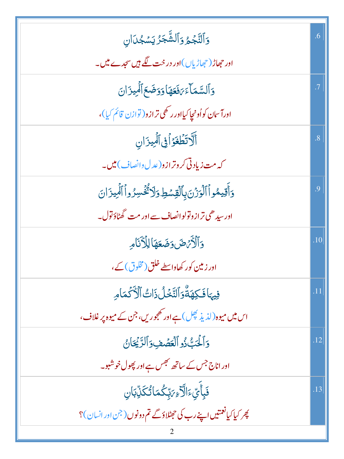| <u>وَ</u> ٱلنَّجۡمُ وَٱلشَّجَرُ يَسۡجُلَانِ                      | .6             |
|------------------------------------------------------------------|----------------|
| اور حجھاڑ (حجھاڑیاں )اور در خت گے ہیں سجدے میں۔                  |                |
| دَٱلسَّمَآءَ مَغَعَهَا دَدَضَعَ ٱلۡمِیزَانَ                      | .7             |
| اورآسان كواُونجاكيااورر كلي ترازو(توازن قائم كيا)،               |                |
| أَلَّاتَظُغَوۡأَفِى ٱلۡمِيزَانِ                                  | $\overline{8}$ |
| کہ مت زیادتی کروترازو(عدل دانصاف) میں۔                           |                |
| وَأَقِيمُواْ ٱلْوَزْنَ بِٱلْقِسْطِ وَلَا تُخْسِرُواْ ٱلْمِيزَانَ | .9             |
| اور سیدھی ترازوتولوانصاف سے اور مت گھٹاؤتول۔                     |                |
| <u>وَ</u> ٱلْأَيَّ ضَ وَضَعَهَا لِلْأَنَامِ                      | .10            |
| اور زمین کور کھاواسطے خلق(مخلوق) کے،                             |                |
| فِيهَافَكِهَةٌوَٱلتَّخَلُ ذَاتُّٱلْأَكْمَامِ                     | .11            |
| اس میں میوہ(لذیذ پھِل) ہے اور کھجوریں، جن کے میوہ پر غلاف،       |                |
| وَٱلۡيَٰٓئُواۡلۡقَصۡفِوَٱلرَّيۡجَانُ                             | .12            |
| اور اناج جس کے ساتھ بھس ہے اور پھول خوشبو۔                       |                |
| <b>فَبِأَيِّ ءَالَّ</b> اءِ <sub>ك</sub> َبِّكُمَا تُكَذِّبَانِ  | .13            |
| چر کیاکیانعمتیں اپنے رب کی حجٹلاؤگے تم دونوں (جن اور انسان)؟     |                |
|                                                                  |                |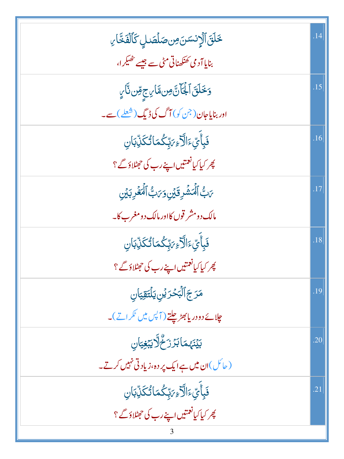| خَلَقَ ٱلْإِنسَنَ مِن صَلْصَلِ كَٱلْفَخَّارِ                        | .14 |
|---------------------------------------------------------------------|-----|
| بنایا آدمی کھنکھناتی مٹی سے جیسے تھیکرا،                            |     |
| وَخَلَقَ ٱلْجَآلَّ مِن مَّارِجِ مِّن نَّارٍ                         | .15 |
| اور بنایاجان( <sup>جن ک</sup> و) آگ کی ڈیگ (شعلے) سے۔               |     |
| <b>ۘڣ</b> ڹ۪ٲۜؠؚۜٞٵؘڶۜۜٙڒٙۦؚ؆ؚڹػؙڡؘٲؾ۠ػۮؚۨڹٲڹ                       | .16 |
| پھر کیا کیا <b>نعمتیں اپنے رب کی حجٹلاؤ گے</b> ؟                    |     |
| يَ بِّ ٱلۡمَشۡرِ قَيۡنِ وَيَ بُّ ٱلۡمَغۡرِبَيۡنِ                    | .17 |
| مالک دومشر قوں کااور مالک دومغرب کا۔                                |     |
| <b>فَبِأَيِّ</b> ءَالَآءِ <sub>كَ</sub> بِّكُمَا تُكَذِّبَانِ       | .18 |
| پھر کیا کیا <b>نعمتیں اپنے رب کی حجٹلاؤ گے</b> ؟                    |     |
| مَرَجَ ٱلۡبَحۡرَيۡنِ يَلۡتَقِيَانِ                                  | .19 |
| چلائے دو دریابھڑ چلتے ( آ <sup>پ</sup> س میں <sup>ع</sup> کر اتے )۔ |     |
| بَيۡنَهُمَابَرۡرَخٌلَّالِيَّ <b>نِي</b> َانِ                        | .20 |
| ( حائل )ان میں ہے ایک پر دہ،زیاد تی نہیں کرتے۔                      |     |
| ڣؘ <b>ڹٲٞؠۜۦ</b> ؘٳٳڷٳۦؚڔۜڹػؙڡؘٵؾؙػۮؚۨڹٵڹ                           | .21 |
| پھر کیا کیا <b>نعمتیں اپنے رب کی حجٹلاؤگے</b> ؟                     |     |
|                                                                     |     |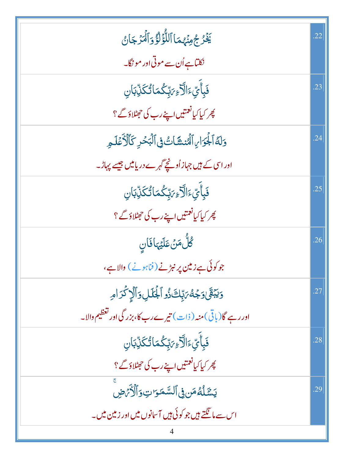| <u>ِيَّذُرُ جُمِنَّهُ</u> مَا ٱللُّؤَلَّٰؤُوَٱلۡمَرۡجَانُ      | .22 |
|----------------------------------------------------------------|-----|
| نکتاہے اُن سے موتی اور مونگا۔                                  |     |
| <b>فَبِأَيِّ</b> ءَالَّآءِ <sub>كَ</sub> بِّكُمَا تُكَذِّبَانِ | .23 |
| پھر کیا کیا <b>نعمتیں اپنے رب کی حجٹلاؤ گے</b> ؟               |     |
| دَلَهُ الْجُوَارِ الْمُنشَاتُ فِى الْبَحْرِ كَٱلْأَعَلَمِ      | .24 |
| اور اسی کے ہیں جہاز اُونچے گہرے دریامیں جیسے پہاڑ۔             |     |
| <b>ۘڣ</b> ڹؚٲۜؠؚٙۜۦٙٲڶؖڒٙۦؚ؆ؚڹؚػۢڡؘٲؾ۠ػڶؚۨڹٲڹ                  | .25 |
| پھر کیا کیا <b>نعمتیں اپنے رب کی حجٹلاؤگ</b> ؟                 |     |
| ڴڵٞڡ <i>ٙڽ۫</i> ٙعَلَيۡهَافَانِ                                | .26 |
| جو کوئی ہے زمین پر نبڑنے (فناہونے) والا ہے،                    |     |
| وَيَبْقَىٰ وَجُهُ يَبِّكَ ذُو أَلْجَلَلِ وَأَلَإٍ كَرَاهِ      | .27 |
| اور رہے گا(باقی)منہ ( ذات) تیرے رب کا،بزر گی اور تغظیم والا۔   |     |
| <b>ۘڣ</b> ؘؠؚٲٛؠۨ۠ۦٙٵڷۜڒ <i>ٙۦؚ؆</i> ۪ڹػۢڡؘٵؾ۠ػؘڵؚؖڹؘٳڹ        | .28 |
| پھر کیا کیا <b>نعمتیں اپنے رب کی حجٹلاؤگ</b> ؟                 |     |
| يَشَلُمُ مَن فِى ٱلسَّمَرَ تِ وَٱلۡأَرۡضِ                      | .29 |
| اس سے مانگتے ہیں جو کوئی ہیں آ سانوں میں اور زمین میں۔         |     |
|                                                                |     |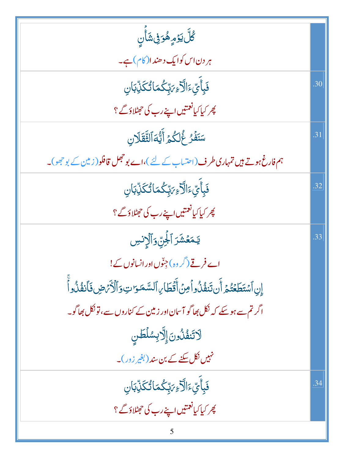| ڴڶ <i>ؖ</i> ؾۯؘۄٟۿؙڗڣۣ۬ۺؘٲؗڹ                                                            |     |
|-----------------------------------------------------------------------------------------|-----|
| ہر دن اس کوایک د ھندا(کام) ہے۔                                                          |     |
| ڣؘ <sub>ڸ</sub> ٲٙؠۜ۠ءَالَآءِ <sub>؆</sub> ڹؚۨػۢڡؘٵؾ۠ػڶ <sub>ؚ</sub> ۨڹٲڹ               | .30 |
| ى <i>چر كيا كي</i> انغمتيں <sub>اپنے رب كى حج او گے؟</sub>                              |     |
| سَنَفَرُ غُلِّكُمُ أَيُّهَ الثَّقَلَان                                                  | .31 |
| ہم فارغ ہوتے ہیں تمہاری طرف (احتساب کے لئے )،اے بو حجل قافلو (زمین کے بو حجھو)۔         |     |
| <b>ۘڣؘ</b> ۪ٳؙۧۜؠؚۜ۠ۦٙٳٲۜڒ <i>ۧۦؚ؆</i> ۭڹۨػۢڡؘٲؾ۠ػڵؚٙڹٲڹ                                | .32 |
| پھر کیا کیا <b>نعمتیں اپنے رب کی حجٹلاؤگ</b> ؟                                          |     |
| يَمَعُشَرَ ٱلْجِنِّ وَٱلْإِنسِ                                                          | .33 |
| اے فرقے (گروہ) جِنٌوں اور انسانوں کے!                                                   |     |
| إِنِ ٱسۡتَطَعۡتُمۡ أَن تَنفُلُواۡ مِنۡ أَقۡطَارِ ٱلسَّمَوَاتِ وَٱلۡأَرۡصَٰٓ فَٱنفُلُواۡ |     |
| اگر تم سے ہو سکے کہ نکل بھاگو آسان اور زمین کے کناروں سے، تو نکل بھاگو۔                 |     |
| لاتَنفُذُونَ إِلَّابِسُلَطَنِ                                                           |     |
| نہیں نکل سکنے کے بن سند (بغیر زور )۔                                                    |     |
| <b>فَبِأَيِّ ءَالَآءِ <sub>ك</sub>َبِّكُمَا تُكَذِّبَانِ</b>                            | .34 |
| پھر کیا کیا <b>نعمتیں اپنے رب کی حجٹلاؤگے</b> ؟                                         |     |
| 5                                                                                       |     |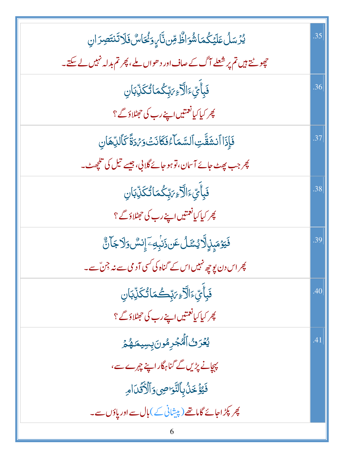| ؽؙۯڛؘڵ؏ڶؽٙػ۠ڡٙٵۺۘ۠ۏٳڟ۠ۊؚڹڐۜٵؠۣۅؘؽ۠ٵڛ۠ۏؘڶٳڐؘٮ۬ؾؘڝؚۯٳڹ                      | .35 |
|---------------------------------------------------------------------------|-----|
| چھوٹتے ہیں تم پر شعلے آگ کے صاف اور دھواں ملے ، پھر تم بدلہ نہیں لے سکتے۔ |     |
| <b>ۘڣ</b> ؘٳؙؙۜؠؚۜ۠ٵؘڷۜٳۦؚ <i>؆</i> ڹؚۨػۢڡؘٲؾ۠ػؘڶؚۨڹؘٳڹ                   | .36 |
| پھر کیا کیا <b>نعمتیں اپنے رب کی حجٹلاؤ گے</b> ؟                          |     |
| فَإِذَا ٱنشَقَّتِ ٱلسَّمَآءُفَكَانَتَ وَرَدَةًۤ كَٱللِّهَانِ              | .37 |
| چر جب پھٹ جائے آسان، توہو جائے گلانی، جیسے تیل کی تلچھٹ۔                  |     |
| <b>ۘڣ</b> ڹ۪ٲۜؠؚۜ۠ٵؘڷۜٳۦؚ؆ڹؚۜػۢڡؘٲؾ۠ػڶؚۜڹٲڹ                               | .38 |
| پھر کیا کیا <b>نعمتیں اپنے رب کی حجٹلاؤ گے</b> ؟                          |     |
| ڣؘؿ <i>ۏٙ</i> ڡؘؠؚ۪ۯؚؚٳۨۜۮؽۺڷ؏ؘڹڹۢؠ <i>ڢ</i> ؘٳ۪ڹڛ۠ۥؘڒۮڿٳؖڽ۠              | .39 |
| پھر اس دن پوچھ نہیں اس کے گناہ کی کسی آدمی سے نہ جن ؓ سے۔                 |     |
| <b>فَبِأَيِّ</b> ءَالَّاءِ بَ <sub>لِ</sub> ّكُمَا تُكَلِّبَانِ           | .40 |
| پھر کیا کیا <b>نعمتیں اپنے رب کی حجٹلاؤگے</b> ؟                           |     |
| يُعُرَفُ ٱلۡۡجۡرِمُونَ بِسِيمَهُمۡ                                        | .41 |
| پیچانے پڑیں گے گناہ گاراپنے چہرے سے،                                      |     |
| فَيُؤْخَنُ بِٱلنَّوَاصِى وَٱلْأَقَّدَامِ                                  |     |
| پھر پکڑاجائے گاماتھے(پیشانی کے)بال سے اور پاؤں سے۔                        |     |
|                                                                           |     |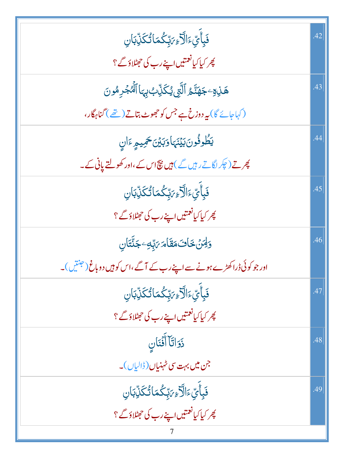| <b>ۘڣ</b> ڹؚٲۜؠؚۜ۠ٵؘڷۜٳۦؚ؆ێۭػۢڡؘٵؾ۠ػڵؚٙڹٲڹ                            | 42  |
|-----------------------------------------------------------------------|-----|
| ى <i>چر كيا كي</i> انغمتيں <sub>اپنے رب كى حج ان كى ؟</sub>           |     |
| ۿڶؚ؋ٷڿۿڐؐۿ؋ٱڶؖڹۣۥؽػڶؚۨڮۑؠٵٲڷؙؽۼڔؚۿۅڹ                                  | .43 |
| (کہاجائے گا) <i>یہ دوزخ ہے جس کو جھوٹ بتاتے (تھے ) گن</i> اہگار،      |     |
| يَطُوفُونَ بَيْنَهَا وَبَيْنَ حَمِيمٍ ءَانِ                           | .44 |
| پھرتے (چکر لگاتے رہیں گے) ہیں پیج اس کے ،اور کھولتے پانی کے۔          |     |
| <b>ۘڣ</b> ڹ۪ٲۜؠۜ۠ۦؘٙٵڶۜۯۦؚ؆ڹؚۜػۢڡؘٲؾ۠ػڵؚٙڹٲڹ                          | .45 |
| پھر کیا کیا <b>نعمتیں اپنے رب کی حجٹلاؤگ</b> ؟                        |     |
| <u>وَلِهَنْ خَافَ مَقَامَ مَدِّبِهِ ۚ جَنَّتَانِ</u>                  | .46 |
| اور جو کوئی ڈراکھڑے ہونے سے اپنے رب کے آگے ،اس کو ہیں دوباغ (جنتیں )۔ |     |
| ڣؘؠؚٲؠؚۜۦؘٳٳۜؖڒٙۦؚڔۜڹؚػؙڡؘٵؾؙػؘڔۨٚڹٵڹ                                 | .47 |
| پھر کیا کیا <b>نعمتیں اپنے رب کی حجٹلاؤگے</b> ؟                       |     |
| ذَوَاتَآ أَفۡنَانِ                                                    | .48 |
| جن میں بہت سی طہنیاں (ڈالیاں)۔                                        |     |
| ڣؘڹٲۧؠۜ۠ <i>ۦٙ</i> ؘٲڵؖۯۦؚ <i>؆</i> ڹۨػۢڡؘٲؾ۠ػڷ <sub>ؚ</sub> ۨڹٲڹ     | .49 |
| پھر کیا کیا <b>نعمتیں اپنے رب کی حجٹلاؤ گے</b> ؟                      |     |
|                                                                       |     |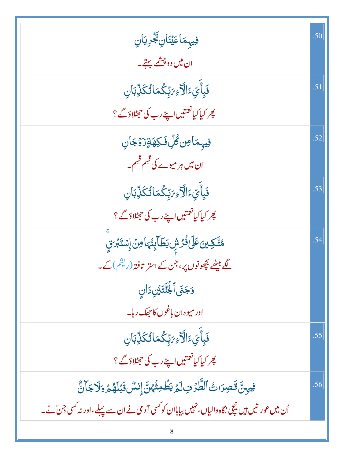| فِي <sub>ب</sub> ِمَاعَيۡنَانِ تَجۡرِيَانِ                                                         | .50 |
|----------------------------------------------------------------------------------------------------|-----|
| ان میں دو چشمے <u>ستے</u> ۔                                                                        |     |
| <b>فَبِأَيِّ ءَالَّ</b> أَءِ <i>مَ</i> تِّكُمَا تُكَذِّبَان                                        | .51 |
| پھر کیا کیا <b>نعمتیں اپنے رب کی حجٹلاؤ گے</b> ؟                                                   |     |
| ڣؚۑ <sub>ڮ</sub> ڡؘٵ <i>ۺڴڸۨۨ</i> ڡٞڮۿۊؚ <i>ؚ</i> ڗؘۯٙڿٲڹۣ                                         | .52 |
| ان میں ہر میوے کی قیم قیم۔                                                                         |     |
| <b>فَبِأَيِّ</b> ءَالَّآءِ <sub>كَ</sub> بِّكُمَا تُكَذِّبَانِ                                     | .53 |
| پھر کیا کیا <b>نعمتیں اپنے رب کی حجٹلاؤگ</b> ؟                                                     |     |
| ۿ <i>ؾؖۜ۠</i> ػۣؠڹؘۘڠٙڶۣٙڶۏ۠ۯۺ۫ <b>ڹڟۜ</b> ٳۧؠؚڹ۠ؠؘٵڡ <i>ؚڽ۫</i> ٳؚۣۺڐؘڹ <sub>ڗ</sub> ؾٟۨ          | .54 |
| گے بیٹھے بچھونوں پر، جن کے استر تافتہ (ریٹم) کے۔                                                   |     |
| 5جَنَى ٱلْجُنَّتَيْنِ دَانِ                                                                        |     |
| اور ميوه ان باغوں کا حجھک رہا۔                                                                     |     |
| ڣؘ <sub>ڹؚ</sub> ٲٝؠؚۜٞٵڵٙٲ <i>؞ؚؾ</i> ڹؚۜػؙڡؘٲؾ۠ػڷ <sub>ؚ</sub> ڹٳڹ                               | .55 |
| پھر کیا کیا <b>نعمتیں اپنے رب کی حجٹلاؤ گے</b> ؟                                                   |     |
| فِيهِنَّ قَصِرَاتُ ٱلطَّرُفِ لَمَ يَطْهِئُهُنَّ إِنِسٌ قَبْلَهُمۡ وَلَاجَآنٌّ                      | .56 |
| اُن میں عور تیں ہیں نیچی نگاہ والیاں، نہیں بیاہاان کو کسی آد می نے ان سے پہلے ،اور نہ کسی جِنّ نے۔ |     |
| 8                                                                                                  |     |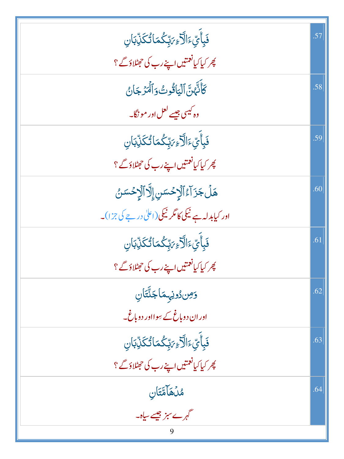| <b>فَبِأَيِّ</b> ءَالَّآءِ <sub>ك</sub> َّبِّكُمَا تُكَذِّبَانِ   | .57 |
|-------------------------------------------------------------------|-----|
| پھر کیا کیا <b>نعمتیں اپنے رب کی حجٹلاؤگ</b> ؟                    |     |
| كَأَنَّهُنَّ ٱلۡيَاتُوتُ وَٱلۡمَرۡجَانُ                           | .58 |
| وہ کیسی جیسے لعل اور مو نگا۔                                      |     |
| ڣؘڹؚٲؘؠۜ۠ <i>ۦٙ</i> ؘٲڵؖٲ <i>؞ۣؾ</i> ڹؖػؙڡؘٲؾ۠ڬڷ <sub>ؚ</sub> ڹٳڹ | .59 |
| پھر کیا کیا <b>نعمتیں اپنے رب کی حجٹلاؤ گے</b> ؟                  |     |
| هَلۡ جَزَآءُٱلۡٳۡحۡسَنِۚ إِلَّآ ٱلۡٳۡحۡسَنُ ۚ                     | .60 |
| اور کیابدلہ ہے نیکی کامگر نیکی(اعلٰی درجے کی جزا)۔                |     |
| <b>فَبِأَيِّ</b> ءَالَّاءِ <sub>كَ</sub> بِّكُمَا تُكَذِّبَان     | .61 |
| پھر کیا کیا <b>نعمتیں اپنے رب کی حجٹلاؤگے</b> ؟                   |     |
| وَصِنْدُونِهِمَاجَنَّتَانِ                                        | .62 |
| اور ان دوباغ کے سِوااور دوباغ۔                                    |     |
| <b>فَبِأَيِّ</b> ءَالَّآءِ <sub>ك</sub> َبِّكُمَا تُكَذِّبَانِ    | .63 |
| پھر کیا کیا <b>نعمتیں اپنے رب کی حجٹلاؤگے</b> ؟                   |     |
| مُلَهَامَّتَانِ                                                   | .64 |
| گہرے سبز جیسے سیاہ۔                                               |     |
|                                                                   |     |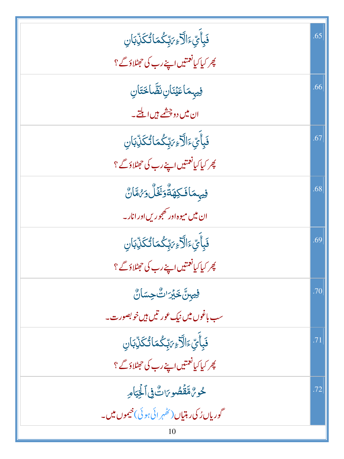| <b>فَبِأَيِّ</b> ءَالَّآءِ <sub>ك</sub> َبِّكُمَا تُكَلِّبَانِ    | .65 |
|-------------------------------------------------------------------|-----|
| پھر کیا کیا <b>نعمتیں اپنے رب کی حجٹلاؤگ</b> ؟                    |     |
| فِيهِمَاعَيْنَانِنَضَّاخَتَانِ                                    | .66 |
| ان میں دو چشمے ہیں ایلتے۔                                         |     |
| <b>فَبِأَيِّ ءَالَّ</b> اءِ <sub>ك</sub> َبِّكُمَا تُكَذِّبَانِ   | .67 |
| پھر کیا کیا <b>نعمتیں اپنے رب کی حجٹلاؤگ</b> ؟                    |     |
| ڣؚڽؠڡٙٲڧؘڮۿۊ۠ۘۏڬؘػؙڵٞ؋ٷڟٙٲڽ۠                                      | .68 |
| ان میں میوہ اور تھجوریں اور انار۔                                 |     |
| <b>فَبِأَيِّ ءَالَّ</b> ا وَيَتِّكُمَا تُكَلِّبَان                | .69 |
| پھر کیا کیا <b>نعمتیں اپنے رب کی حجٹلاؤگ</b> ؟                    |     |
| فِيهِنَّ خَبِّرَ <sup>،</sup> كُّ حِسَانٌ                         | .70 |
| سب باغوں میں نیک عور تیں ہیں خوبصورت۔                             |     |
| <b>ۘڣ</b> ؘ۪ٲؙؠؚۜ۠ٵؘڵؖٲ <sub>ٷ</sub> <i>؆</i> ۪ڹۨػۢڡؘٲؾ۠ػؘۜڶؚۨڹٲڹ | .71 |
| پھر کیا کیانعمتیں اپنے رب کی حجٹلاؤگے ؟                           |     |
| حُورٌ مَّقْصُوبَاتٌ فِي الْكِيَامِ                                | .72 |
| گوریاں رُکی رہتیاں (ٹھُہر ا <sup>ئی ہو</sup> ئی)خیموں میں۔        |     |
|                                                                   |     |